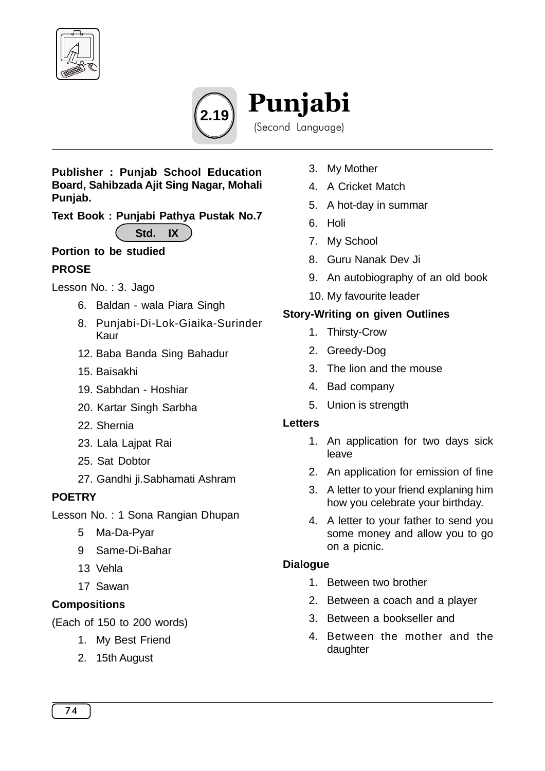



#### **Publisher : Punjab School Education Board, Sahibzada Ajit Sing Nagar, Mohali Punjab.**

**Text Book : Punjabi Pathya Pustak No.7**

**Std. IX**

# **Portion to be studied**

# **PROSE**

Lesson No. : 3. Jago

- 6. Baldan wala Piara Singh
- 8. Punjabi-Di-Lok-Giaika-Surinder Kaur
- 12. Baba Banda Sing Bahadur
- 15. Baisakhi
- 19. Sabhdan Hoshiar
- 20. Kartar Singh Sarbha
- 22. Shernia
- 23. Lala Lajpat Rai
- 25. Sat Dobtor
- 27. Gandhi ji.Sabhamati Ashram

# **POETRY**

Lesson No. : 1 Sona Rangian Dhupan

- 5 Ma-Da-Pyar
- 9 Same-Di-Bahar
- 13 Vehla
- 17 Sawan

# **Compositions**

(Each of 150 to 200 words)

- 1. My Best Friend
- 2. 15th August
- 3. My Mother
- 4. A Cricket Match
- 5. A hot-day in summar
- 6. Holi
- 7. My School
- 8. Guru Nanak Dev Ji
- 9. An autobiography of an old book
- 10. My favourite leader

# **Story-Writing on given Outlines**

- 1. Thirsty-Crow
- 2. Greedy-Dog
- 3. The lion and the mouse
- 4. Bad company
- 5. Union is strength

#### **Letters**

- 1. An application for two days sick leave
- 2. An application for emission of fine
- 3. A letter to your friend explaning him how you celebrate your birthday.
- 4. A letter to your father to send you some money and allow you to go on a picnic.

# **Dialogue**

- 1. Between two brother
- 2. Between a coach and a player
- 3. Between a bookseller and
- 4. Between the mother and the daughter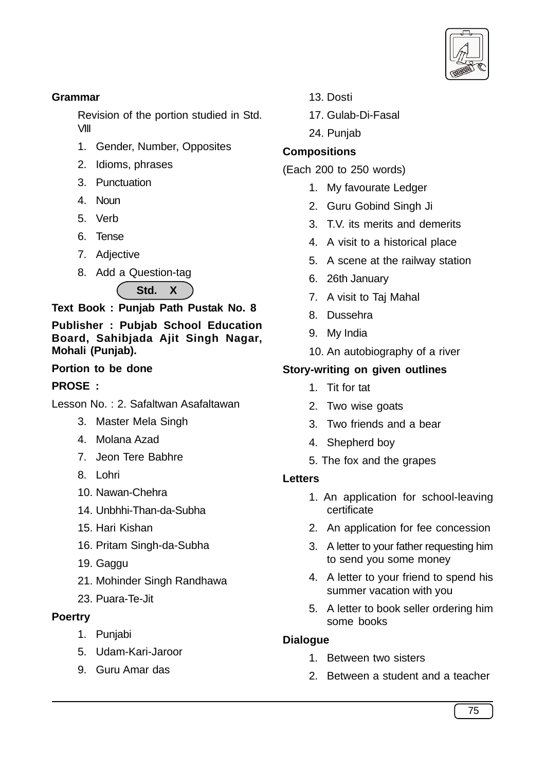

#### **Grammar**

Revision of the portion studied in Std. VIII

- 1. Gender, Number, Opposites
- 2. Idioms, phrases
- 3. Punctuation
- 4. Noun
- 5. Verb
- 6. Tense
- 7. Adjective
- 8. Add a Question-tag



**Text Book : Punjab Path Pustak No. 8**

**Publisher : Pubjab School Education Board, Sahibjada Ajit Singh Nagar, Mohali (Punjab).**

### **Portion to be done**

### **PROSE :**

Lesson No. : 2. Safaltwan Asafaltawan

- 3. Master Mela Singh
- 4. Molana Azad
- 7. Jeon Tere Babhre
- 8. Lohri
- 10. Nawan-Chehra
- 14. Unbhhi-Than-da-Subha
- 15. Hari Kishan
- 16. Pritam Singh-da-Subha
- 19. Gaggu
- 21. Mohinder Singh Randhawa
- 23. Puara-Te-Jit

#### **Poertry**

- 1. Punjabi
- 5. Udam-Kari-Jaroor
- 9. Guru Amar das
- 13. Dosti
- 17. Gulab-Di-Fasal
- 24. Punjab

# **Compositions**

- (Each 200 to 250 words)
	- 1. My favourate Ledger
	- 2. Guru Gobind Singh Ji
	- 3. T.V. its merits and demerits
	- 4. A visit to a historical place
	- 5. A scene at the railway station
	- 6. 26th January
	- 7. A visit to Taj Mahal
	- 8. Dussehra
	- 9. My India
	- 10. An autobiography of a river

# **Story-writing on given outlines**

- 1. Tit for tat
- 2. Two wise goats
- 3. Two friends and a bear
- 4. Shepherd boy
- 5. The fox and the grapes

#### **Letters**

- 1. An application for school-leaving certificate
- 2. An application for fee concession
- 3. A letter to your father requesting him to send you some money
- 4. A letter to your friend to spend his summer vacation with you
- 5. A letter to book seller ordering him some books

#### **Dialogue**

- 1. Between two sisters
- 2. Between a student and a teacher